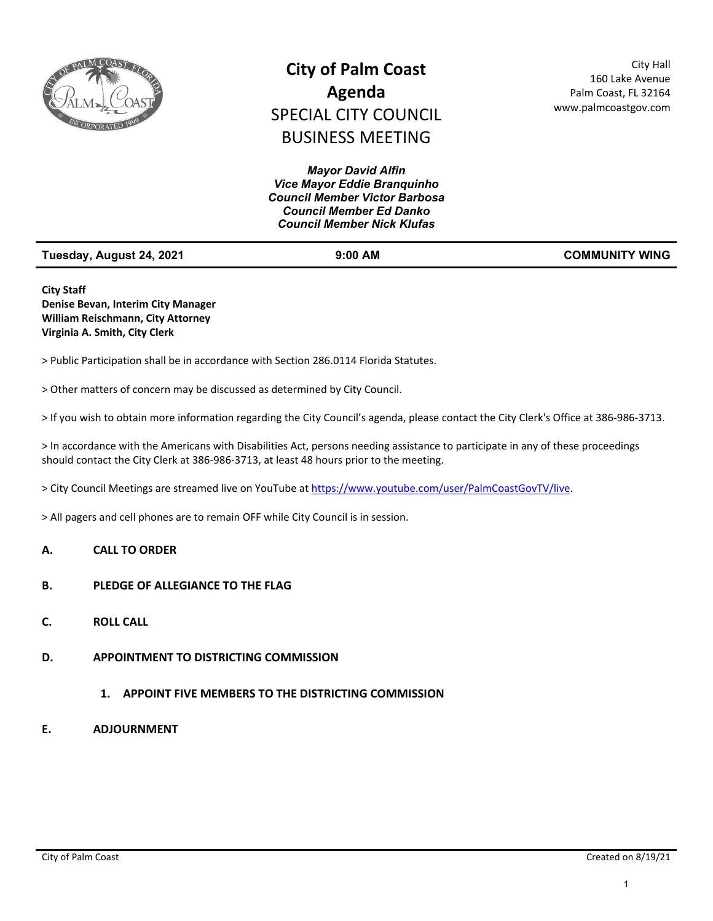

# **City of Palm Coast Agenda** SPECIAL CITY COUNCIL BUSINESS MEETING

City Hall 160 Lake Avenue Palm Coast, FL 32164 www.palmcoastgov.com

| <b>Mayor David Alfin</b><br>Vice Mayor Eddie Branquinho<br><b>Council Member Victor Barbosa</b><br><b>Council Member Ed Danko</b><br><b>Council Member Nick Klufas</b> |           |                       |
|------------------------------------------------------------------------------------------------------------------------------------------------------------------------|-----------|-----------------------|
| Tuesday, August 24, 2021                                                                                                                                               | $9:00$ AM | <b>COMMUNITY WING</b> |
| <b>City Staff</b><br>Denise Bevan, Interim City Manager<br><b>William Reischmann, City Attorney</b><br>Virginia A. Smith, City Clerk                                   |           |                       |
| > Public Participation shall be in accordance with Section 286.0114 Florida Statutes.                                                                                  |           |                       |
| > Other matters of concern may be discussed as determined by City Council.                                                                                             |           |                       |
| > If you wish to obtain more information regarding the City Council's agenda, please contact the City Clerk's Office at 386-986-3713.                                  |           |                       |

> In accordance with the Americans with Disabilities Act, persons needing assistance to participate in any of these proceedings should contact the City Clerk at 386-986-3713, at least 48 hours prior to the meeting.

> City Council Meetings are streamed live on YouTube at https://www.youtube.com/user/PalmCoastGovTV/live.

> All pagers and cell phones are to remain OFF while City Council is in session.

#### **A. CALL TO ORDER**

- **B. PLEDGE OF ALLEGIANCE TO THE FLAG**
- **C. ROLL CALL**
- **D. APPOINTMENT TO DISTRICTING COMMISSION**
	- **1. APPOINT FIVE MEMBERS TO THE DISTRICTING COMMISSION**
- **E. ADJOURNMENT**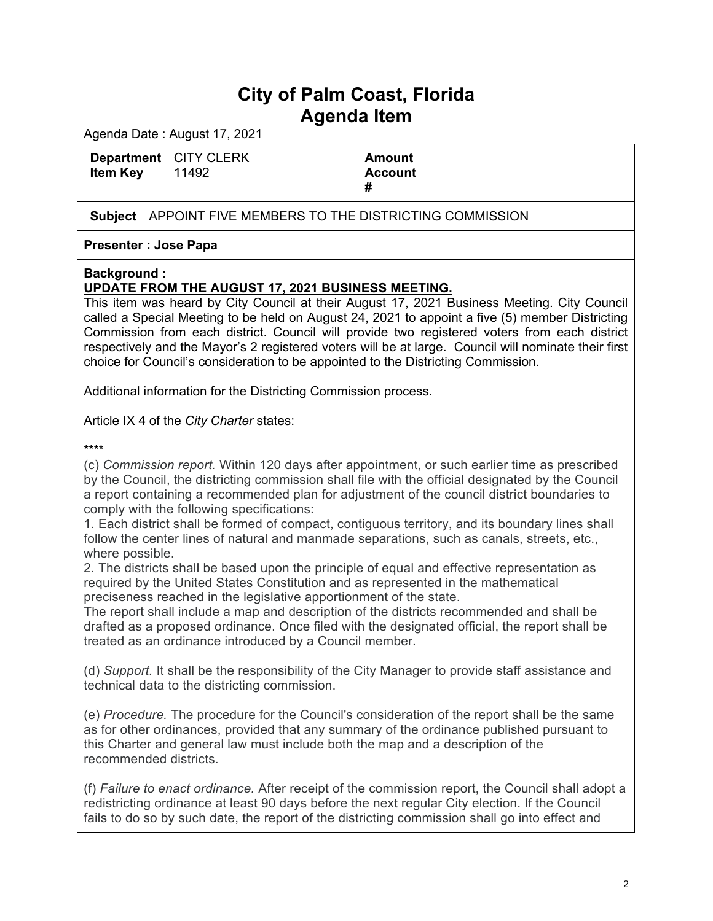# **City of Palm Coast, Florida Agenda Item**

Agenda Date : August 17, 2021

**Department** CITY CLERK **Amount Item Key** 11492 **Account** 

**#**

**Subject** APPOINT FIVE MEMBERS TO THE DISTRICTING COMMISSION

# **Presenter : Jose Papa**

#### **Background :**

# **UPDATE FROM THE AUGUST 17, 2021 BUSINESS MEETING.**

This item was heard by City Council at their August 17, 2021 Business Meeting. City Council called a Special Meeting to be held on August 24, 2021 to appoint a five (5) member Districting Commission from each district. Council will provide two registered voters from each district respectively and the Mayor's 2 registered voters will be at large. Council will nominate their first choice for Council's consideration to be appointed to the Districting Commission.

Additional information for the Districting Commission process.

Article IX 4 of the *City Charter* states:

\*\*\*\*

(c) *Commission report.* Within 120 days after appointment, or such earlier time as prescribed by the Council, the districting commission shall file with the official designated by the Council a report containing a recommended plan for adjustment of the council district boundaries to comply with the following specifications:

1. Each district shall be formed of compact, contiguous territory, and its boundary lines shall follow the center lines of natural and manmade separations, such as canals, streets, etc., where possible.

2. The districts shall be based upon the principle of equal and effective representation as required by the United States Constitution and as represented in the mathematical preciseness reached in the legislative apportionment of the state.

The report shall include a map and description of the districts recommended and shall be drafted as a proposed ordinance. Once filed with the designated official, the report shall be treated as an ordinance introduced by a Council member.

(d) *Support.* It shall be the responsibility of the City Manager to provide staff assistance and technical data to the districting commission.

(e) *Procedure.* The procedure for the Council's consideration of the report shall be the same as for other ordinances, provided that any summary of the ordinance published pursuant to this Charter and general law must include both the map and a description of the recommended districts.

(f) *Failure to enact ordinance.* After receipt of the commission report, the Council shall adopt a redistricting ordinance at least 90 days before the next regular City election. If the Council fails to do so by such date, the report of the districting commission shall go into effect and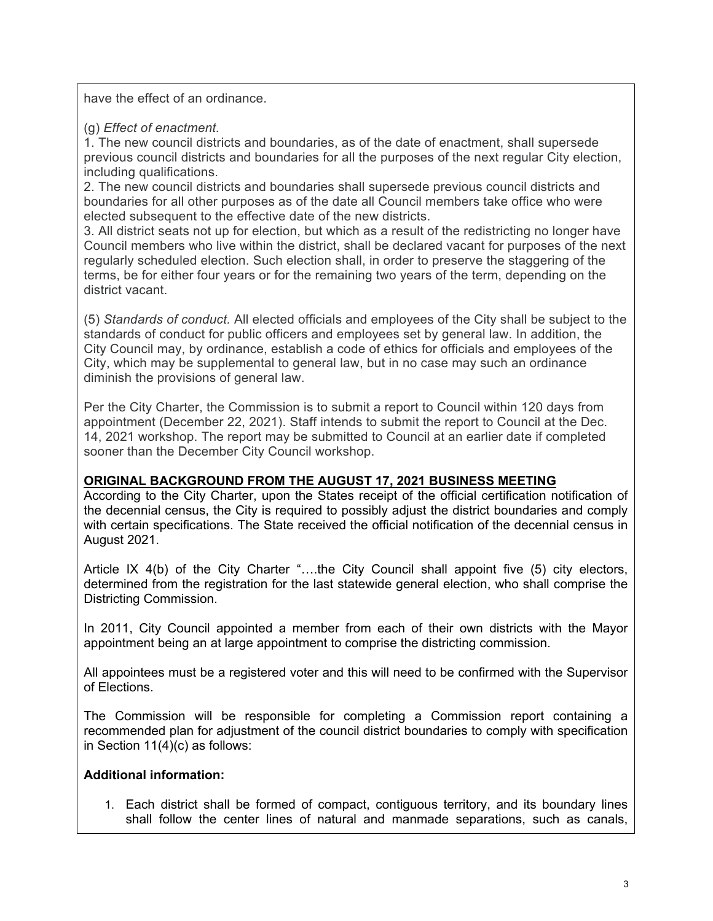have the effect of an ordinance.

# (g) *Effect of enactment.*

1. The new council districts and boundaries, as of the date of enactment, shall supersede previous council districts and boundaries for all the purposes of the next regular City election, including qualifications.

2. The new council districts and boundaries shall supersede previous council districts and boundaries for all other purposes as of the date all Council members take office who were elected subsequent to the effective date of the new districts.

3. All district seats not up for election, but which as a result of the redistricting no longer have Council members who live within the district, shall be declared vacant for purposes of the next regularly scheduled election. Such election shall, in order to preserve the staggering of the terms, be for either four years or for the remaining two years of the term, depending on the district vacant.

(5) *Standards of conduct.* All elected officials and employees of the City shall be subject to the standards of conduct for public officers and employees set by general law. In addition, the City Council may, by ordinance, establish a code of ethics for officials and employees of the City, which may be supplemental to general law, but in no case may such an ordinance diminish the provisions of general law.

Per the City Charter, the Commission is to submit a report to Council within 120 days from appointment (December 22, 2021). Staff intends to submit the report to Council at the Dec. 14, 2021 workshop. The report may be submitted to Council at an earlier date if completed sooner than the December City Council workshop.

# **ORIGINAL BACKGROUND FROM THE AUGUST 17, 2021 BUSINESS MEETING**

According to the City Charter, upon the States receipt of the official certification notification of the decennial census, the City is required to possibly adjust the district boundaries and comply with certain specifications. The State received the official notification of the decennial census in August 2021.

Article IX 4(b) of the City Charter "….the City Council shall appoint five (5) city electors, determined from the registration for the last statewide general election, who shall comprise the Districting Commission.

In 2011, City Council appointed a member from each of their own districts with the Mayor appointment being an at large appointment to comprise the districting commission.

All appointees must be a registered voter and this will need to be confirmed with the Supervisor of Elections.

The Commission will be responsible for completing a Commission report containing a recommended plan for adjustment of the council district boundaries to comply with specification in Section 11(4)(c) as follows:

# **Additional information:**

1. Each district shall be formed of compact, contiguous territory, and its boundary lines shall follow the center lines of natural and manmade separations, such as canals,